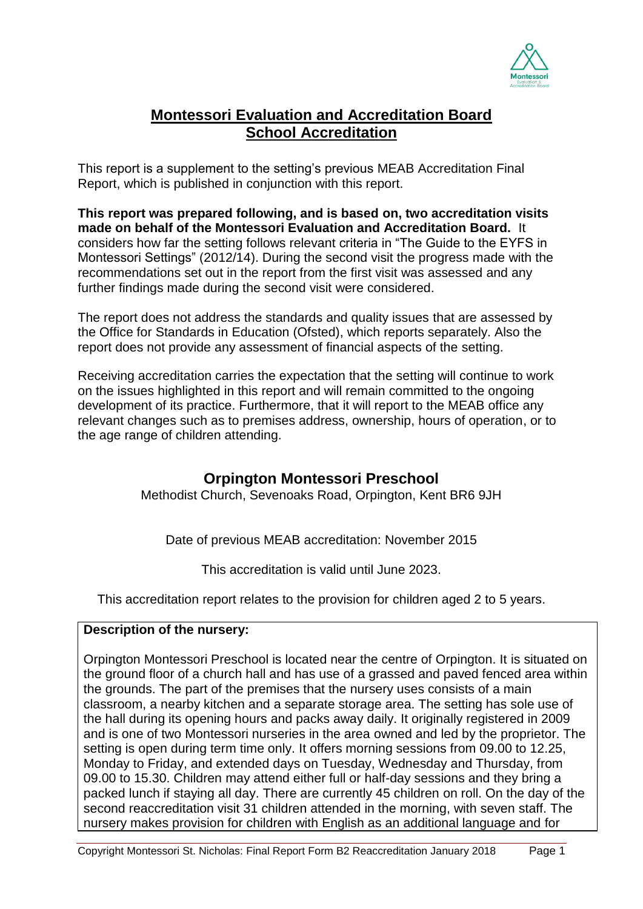

# **Montessori Evaluation and Accreditation Board School Accreditation**

This report is a supplement to the setting's previous MEAB Accreditation Final Report, which is published in conjunction with this report.

**This report was prepared following, and is based on, two accreditation visits made on behalf of the Montessori Evaluation and Accreditation Board.** It considers how far the setting follows relevant criteria in "The Guide to the EYFS in Montessori Settings" (2012/14). During the second visit the progress made with the recommendations set out in the report from the first visit was assessed and any further findings made during the second visit were considered.

The report does not address the standards and quality issues that are assessed by the Office for Standards in Education (Ofsted), which reports separately. Also the report does not provide any assessment of financial aspects of the setting.

Receiving accreditation carries the expectation that the setting will continue to work on the issues highlighted in this report and will remain committed to the ongoing development of its practice. Furthermore, that it will report to the MEAB office any relevant changes such as to premises address, ownership, hours of operation, or to the age range of children attending.

# **Orpington Montessori Preschool**

Methodist Church, Sevenoaks Road, Orpington, Kent BR6 9JH

Date of previous MEAB accreditation: November 2015

This accreditation is valid until June 2023.

This accreditation report relates to the provision for children aged 2 to 5 years.

## **Description of the nursery:**

Orpington Montessori Preschool is located near the centre of Orpington. It is situated on the ground floor of a church hall and has use of a grassed and paved fenced area within the grounds. The part of the premises that the nursery uses consists of a main classroom, a nearby kitchen and a separate storage area. The setting has sole use of the hall during its opening hours and packs away daily. It originally registered in 2009 and is one of two Montessori nurseries in the area owned and led by the proprietor. The setting is open during term time only. It offers morning sessions from 09.00 to 12.25, Monday to Friday, and extended days on Tuesday, Wednesday and Thursday, from 09.00 to 15.30. Children may attend either full or half-day sessions and they bring a packed lunch if staying all day. There are currently 45 children on roll. On the day of the second reaccreditation visit 31 children attended in the morning, with seven staff. The nursery makes provision for children with English as an additional language and for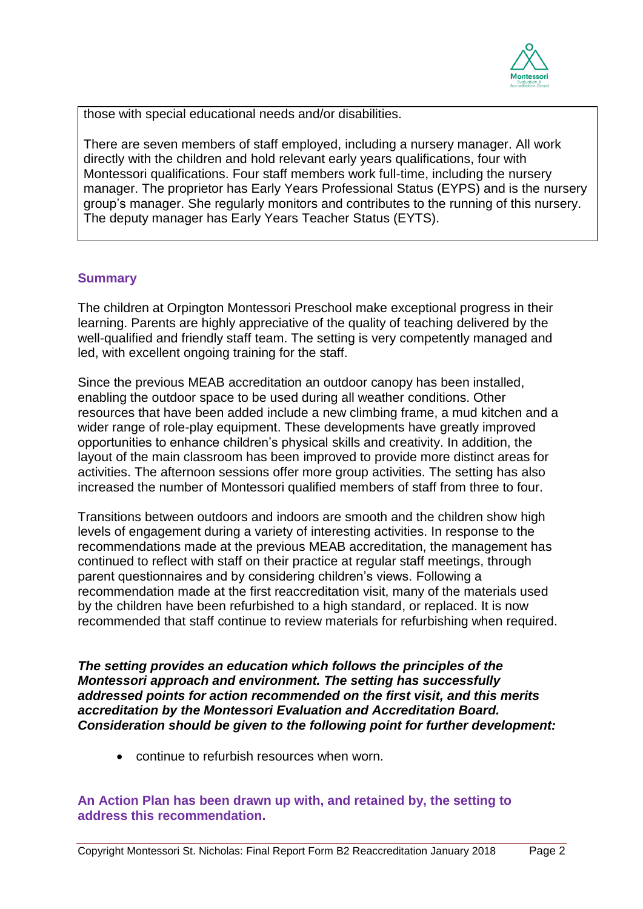

those with special educational needs and/or disabilities.

There are seven members of staff employed, including a nursery manager. All work directly with the children and hold relevant early years qualifications, four with Montessori qualifications. Four staff members work full-time, including the nursery manager. The proprietor has Early Years Professional Status (EYPS) and is the nursery group's manager. She regularly monitors and contributes to the running of this nursery. The deputy manager has Early Years Teacher Status (EYTS).

### **Summary**

The children at Orpington Montessori Preschool make exceptional progress in their learning. Parents are highly appreciative of the quality of teaching delivered by the well-qualified and friendly staff team. The setting is very competently managed and led, with excellent ongoing training for the staff.

Since the previous MEAB accreditation an outdoor canopy has been installed, enabling the outdoor space to be used during all weather conditions. Other resources that have been added include a new climbing frame, a mud kitchen and a wider range of role-play equipment. These developments have greatly improved opportunities to enhance children's physical skills and creativity. In addition, the layout of the main classroom has been improved to provide more distinct areas for activities. The afternoon sessions offer more group activities. The setting has also increased the number of Montessori qualified members of staff from three to four.

Transitions between outdoors and indoors are smooth and the children show high levels of engagement during a variety of interesting activities. In response to the recommendations made at the previous MEAB accreditation, the management has continued to reflect with staff on their practice at regular staff meetings, through parent questionnaires and by considering children's views. Following a recommendation made at the first reaccreditation visit, many of the materials used by the children have been refurbished to a high standard, or replaced. It is now recommended that staff continue to review materials for refurbishing when required.

*The setting provides an education which follows the principles of the Montessori approach and environment. The setting has successfully addressed points for action recommended on the first visit, and this merits accreditation by the Montessori Evaluation and Accreditation Board. Consideration should be given to the following point for further development:*

continue to refurbish resources when worn.

#### **An Action Plan has been drawn up with, and retained by, the setting to address this recommendation.**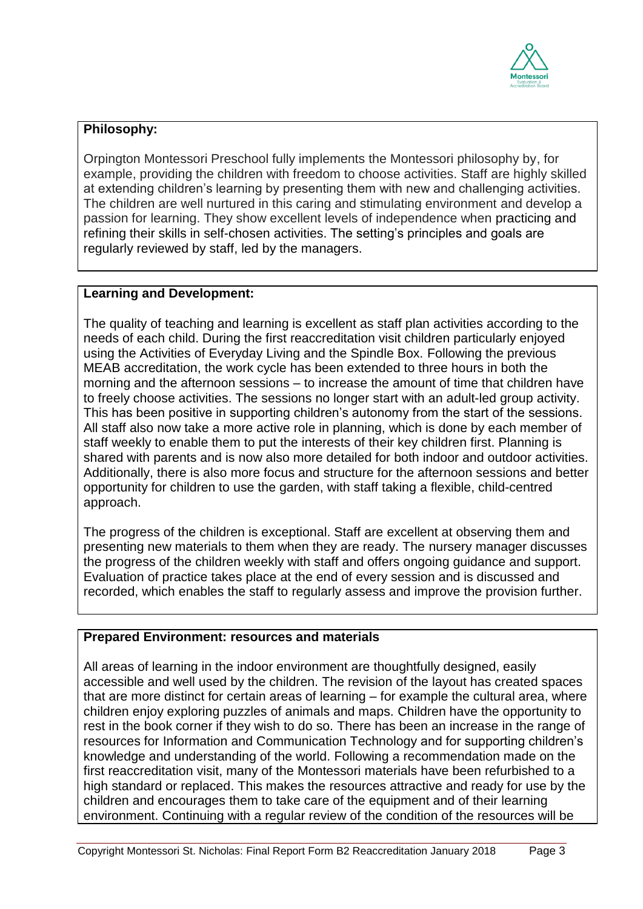

# **Philosophy:**

Orpington Montessori Preschool fully implements the Montessori philosophy by, for example, providing the children with freedom to choose activities. Staff are highly skilled at extending children's learning by presenting them with new and challenging activities. The children are well nurtured in this caring and stimulating environment and develop a passion for learning. They show excellent levels of independence when practicing and refining their skills in self-chosen activities. The setting's principles and goals are regularly reviewed by staff, led by the managers.

### **Learning and Development:**

The quality of teaching and learning is excellent as staff plan activities according to the needs of each child. During the first reaccreditation visit children particularly enjoyed using the Activities of Everyday Living and the Spindle Box. Following the previous MEAB accreditation, the work cycle has been extended to three hours in both the morning and the afternoon sessions – to increase the amount of time that children have to freely choose activities. The sessions no longer start with an adult-led group activity. This has been positive in supporting children's autonomy from the start of the sessions. All staff also now take a more active role in planning, which is done by each member of staff weekly to enable them to put the interests of their key children first. Planning is shared with parents and is now also more detailed for both indoor and outdoor activities. Additionally, there is also more focus and structure for the afternoon sessions and better opportunity for children to use the garden, with staff taking a flexible, child-centred approach.

The progress of the children is exceptional. Staff are excellent at observing them and presenting new materials to them when they are ready. The nursery manager discusses the progress of the children weekly with staff and offers ongoing guidance and support. Evaluation of practice takes place at the end of every session and is discussed and recorded, which enables the staff to regularly assess and improve the provision further.

#### **Prepared Environment: resources and materials**

All areas of learning in the indoor environment are thoughtfully designed, easily accessible and well used by the children. The revision of the layout has created spaces that are more distinct for certain areas of learning – for example the cultural area, where children enjoy exploring puzzles of animals and maps. Children have the opportunity to rest in the book corner if they wish to do so. There has been an increase in the range of resources for Information and Communication Technology and for supporting children's knowledge and understanding of the world. Following a recommendation made on the first reaccreditation visit, many of the Montessori materials have been refurbished to a high standard or replaced. This makes the resources attractive and ready for use by the children and encourages them to take care of the equipment and of their learning environment. Continuing with a regular review of the condition of the resources will be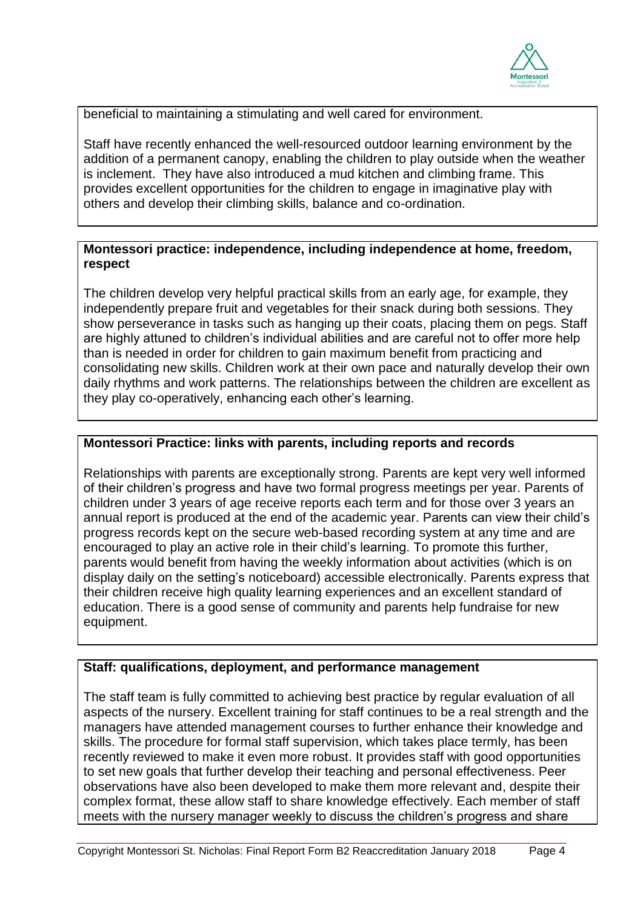

beneficial to maintaining a stimulating and well cared for environment.

Staff have recently enhanced the well-resourced outdoor learning environment by the addition of a permanent canopy, enabling the children to play outside when the weather is inclement. They have also introduced a mud kitchen and climbing frame. This provides excellent opportunities for the children to engage in imaginative play with others and develop their climbing skills, balance and co-ordination.

### **Montessori practice: independence, including independence at home, freedom, respect**

The children develop very helpful practical skills from an early age, for example, they independently prepare fruit and vegetables for their snack during both sessions. They show perseverance in tasks such as hanging up their coats, placing them on pegs. Staff are highly attuned to children's individual abilities and are careful not to offer more help than is needed in order for children to gain maximum benefit from practicing and consolidating new skills. Children work at their own pace and naturally develop their own daily rhythms and work patterns. The relationships between the children are excellent as they play co-operatively, enhancing each other's learning.

### **Montessori Practice: links with parents, including reports and records**

Relationships with parents are exceptionally strong. Parents are kept very well informed of their children's progress and have two formal progress meetings per year. Parents of children under 3 years of age receive reports each term and for those over 3 years an annual report is produced at the end of the academic year. Parents can view their child's progress records kept on the secure web-based recording system at any time and are encouraged to play an active role in their child's learning. To promote this further, parents would benefit from having the weekly information about activities (which is on display daily on the setting's noticeboard) accessible electronically. Parents express that their children receive high quality learning experiences and an excellent standard of education. There is a good sense of community and parents help fundraise for new equipment.

## **Staff: qualifications, deployment, and performance management**

The staff team is fully committed to achieving best practice by regular evaluation of all aspects of the nursery. Excellent training for staff continues to be a real strength and the managers have attended management courses to further enhance their knowledge and skills. The procedure for formal staff supervision, which takes place termly, has been recently reviewed to make it even more robust. It provides staff with good opportunities to set new goals that further develop their teaching and personal effectiveness. Peer observations have also been developed to make them more relevant and, despite their complex format, these allow staff to share knowledge effectively. Each member of staff meets with the nursery manager weekly to discuss the children's progress and share